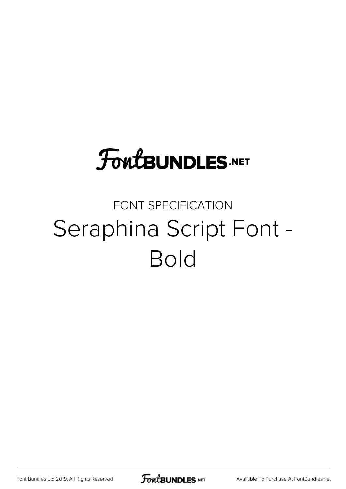# **FoutBUNDLES.NET**

## FONT SPECIFICATION Seraphina Script Font - Bold

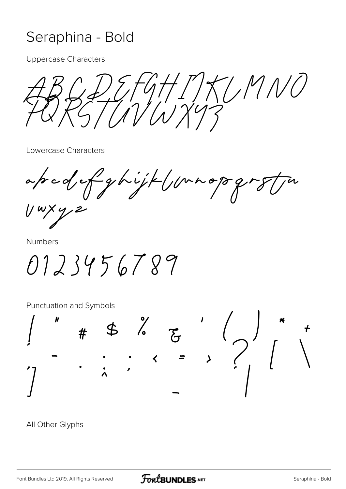### Seraphina - Bold

**Uppercase Characters** 

 $H/T/27/M10$  $\lambda'$ 

Lowercase Characters

apcd of ghijk (pragog

**Numbers** 

0123456789

Punctuation and Symbols



All Other Glyphs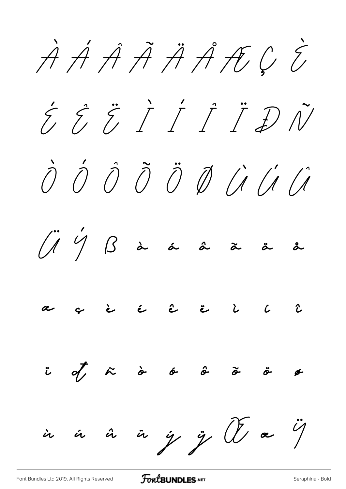**À Á Â Ã Ä Å Æ Ç È É Ê Ë Ì Í Î Ï Ð Ñ Ò Ó Ô Õ Ö Ø Ù Ú Û Ü Ý ß à á â ã ä å æ ç è é ê ë ì í î ï ð ñ ò ó ô õ ö ø ù ú û ü ý ÿ Œ œ Ÿ**

[Font Bundles Ltd 2019. All Rights Reserved](https://fontbundles.net/) **FoutBUNDLES.NET** [Seraphina - Bold](https://fontbundles.net/)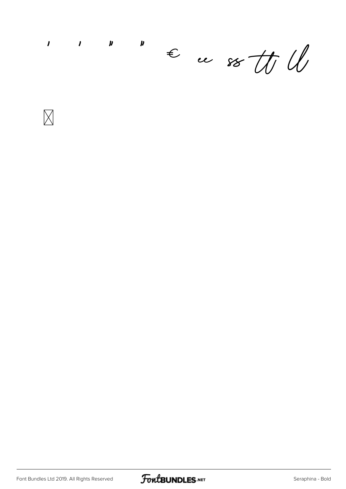$\boldsymbol{y}$  $\overline{\mathbf{I}}$  $\mathbf{I}$  $\boldsymbol{\mu}$  $\epsilon$  as to W



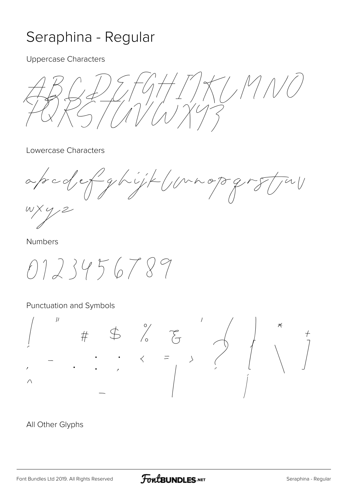### Seraphina - Regular

**Uppercase Characters** 

 $7/M$ 

Lowercase Characters

apcdef ghijk (unopg

**Numbers** 

0123456789

#### Punctuation and Symbols



All Other Glyphs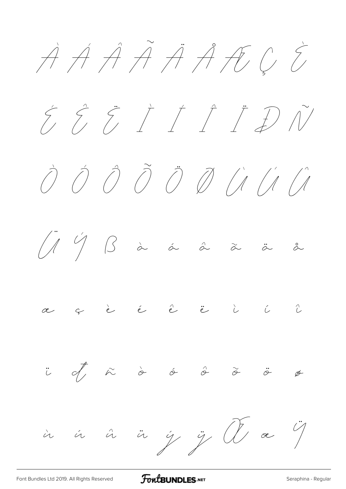$\overrightarrow{A}$   $\overrightarrow{A}$   $\overrightarrow{A}$   $\overrightarrow{A}$   $\overrightarrow{C}$   $\overrightarrow{C}$ É Ê Ë Ì Í Î Ï Ð Ñ Ò Ó Ô Õ Ö Ø Ù Ú Û  $\left(\begin{matrix} \cdot & \cdot & \cdot \\ \cdot & \cdot & \cdot & \cdot \\ \cdot & \cdot & \cdot & \cdot \end{matrix}\right)$   $\left(\begin{matrix} \cdot & \cdot & \cdot & \cdot \\ \cdot & \cdot & \cdot & \cdot & \cdot \end{matrix}\right)$   $\left(\begin{matrix} \cdot & \cdot & \cdot & \cdot & \cdot \\ \cdot & \cdot & \cdot & \cdot & \cdot & \cdot \end{matrix}\right)$  $\begin{array}{cccccccccccccccccc} \epsilon & \hat{c} & \hat{c} & \hat{c} & \hat{c} & \hat{c} & \hat{c} & \hat{c} & \end{array}$ ï ð ñ ò ó ô õ ö ø ù ú û ü ý ÿ Œ œ Ÿ

[Font Bundles Ltd 2019. All Rights Reserved](https://fontbundles.net/) **FoutBUNDLES.NET** [Seraphina - Regular](https://fontbundles.net/)